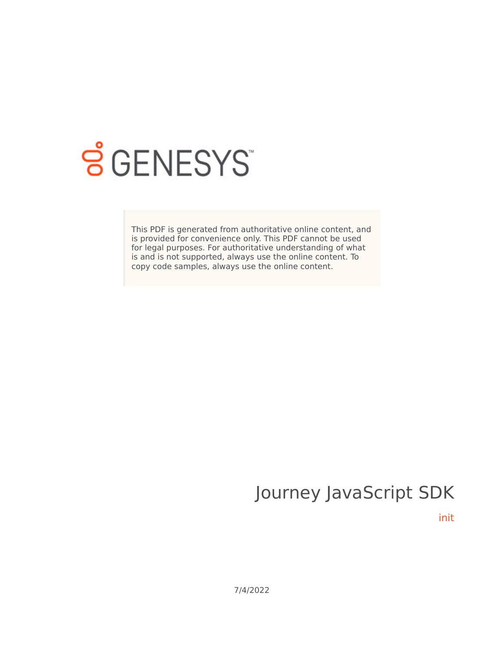

# **SGENESYS**

This PDF is generated from authoritative online content, and is provided for convenience only. This PDF cannot be used for legal purposes. For authoritative understanding of what is and is not supported, always use the online content. To copy code samples, always use the online content.

# Journey JavaScript SDK

init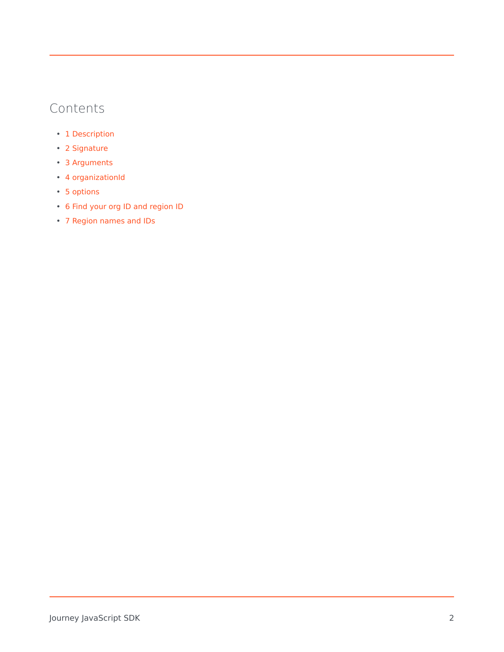## Contents

- 1 [Description](#page-2-0)
- 2 [Signature](#page-2-1)
- 3 [Arguments](#page-2-2)
- 4 [organizationId](#page-2-3)
- 5 [options](#page-3-0)
- 6 [Find your org ID and region ID](#page-3-1)
- 7 [Region names and IDs](#page-4-0)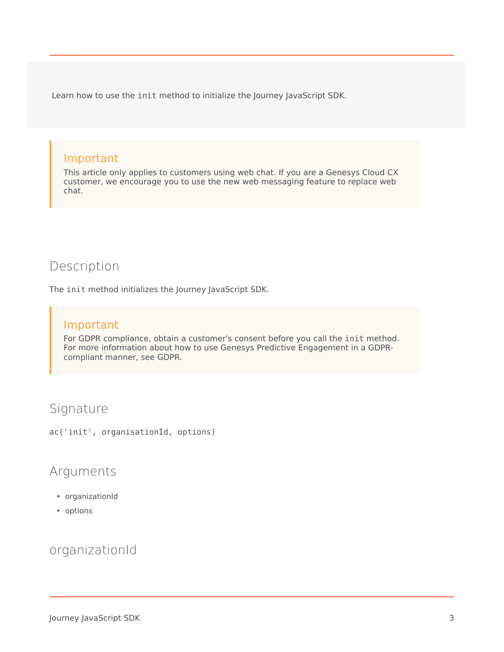Learn how to use the init method to initialize the Journey JavaScript SDK.

## Important

This article only applies to customers using web chat. If you are a Genesys Cloud CX customer, we encourage you to use the new web messaging feature to replace web chat.

## <span id="page-2-0"></span>Description

The init method initializes the Journey JavaScript SDK.

## Important

For GDPR compliance, obtain a customer's consent before you call the init method. For more information about how to use Genesys Predictive Engagement in a GDPRcompliant manner, see GDPR.

## <span id="page-2-1"></span>Signature

ac('init', organisationId, options)

## <span id="page-2-2"></span>Arguments

- organizationId
- options

## <span id="page-2-3"></span>organizationId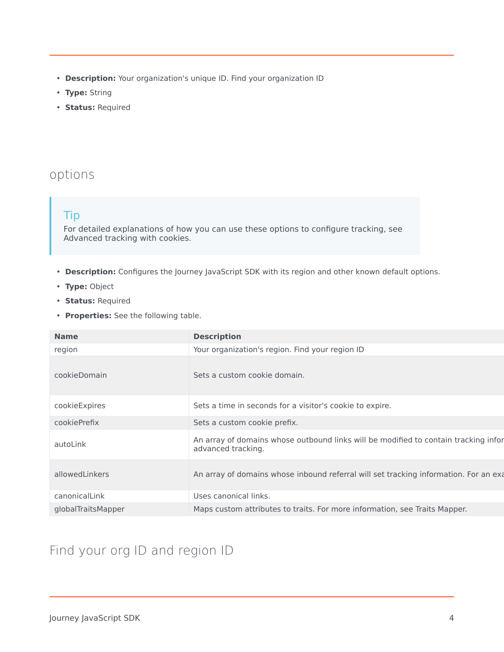- **Description:** Your organization's unique ID. Find your organization ID
- **Type:** String
- **Status:** Required

# <span id="page-3-0"></span>options

## Tip

For detailed explanations of how you can use these options to configure tracking, see Advanced tracking with cookies.

- **Description:** Configures the Journey JavaScript SDK with its region and other known default options.
- **Type:** Object
- **Status:** Required
- **Properties:** See the following table.

| <b>Name</b>        | <b>Description</b>                                                                                        |
|--------------------|-----------------------------------------------------------------------------------------------------------|
| region             | Your organization's region. Find your region ID                                                           |
| cookieDomain       | Sets a custom cookie domain.                                                                              |
| cookieExpires      | Sets a time in seconds for a visitor's cookie to expire.                                                  |
| cookiePrefix       | Sets a custom cookie prefix.                                                                              |
| autoLink           | An array of domains whose outbound links will be modified to contain tracking infor<br>advanced tracking. |
| allowedLinkers     | An array of domains whose inbound referral will set tracking information. For an example                  |
| canonicalLink      | Uses canonical links.                                                                                     |
| globalTraitsMapper | Maps custom attributes to traits. For more information, see Traits Mapper.                                |

# <span id="page-3-1"></span>Find your org ID and region ID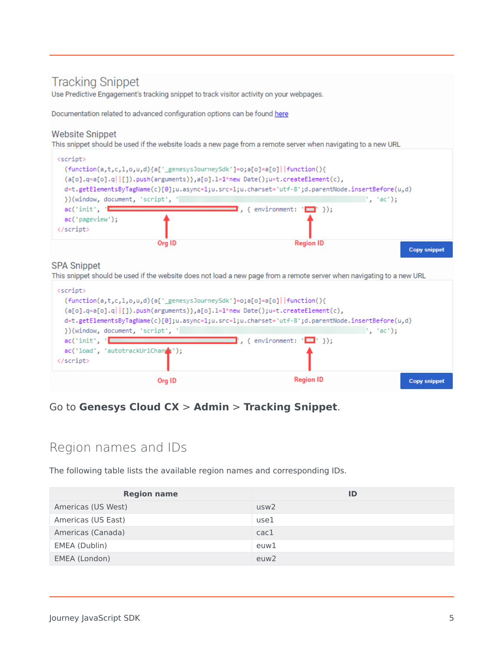## **Tracking Snippet**

Use Predictive Engagement's tracking snippet to track visitor activity on your webpages.

Documentation related to advanced configuration options can be found here

### **Website Snippet**

This snippet should be used if the website loads a new page from a remote server when navigating to a new URL

| <script></th><th></th><th></th></tr><tr><td>(function(a,t,c,l,o,u,d){a[' genesysJourneySdk']=o;a[o]=a[o]  function(){</td><td></td><td></td></tr><tr><td><math>(a[0].q=a[0].q  [1].push(arguments)\},a[0].1=1*new Date();u=t.createElement(c),</math></td><td></td><td></td></tr><tr><td></td><td>d=t.getElementsByTagName(c)[0];u.async=1;u.src=1;u.charset='utf-8';d.parentNode.insertBefore(u,d)</td><td></td></tr><tr><td>})(window, document, 'script', '</td><td>", 'ac');</td><td></td></tr><tr><td><math>\operatorname{ac}('init', '</math></td><td>{ environment: <math>\Box</math> });</td><td></td></tr><tr><td>ac('pageview');</td><td></td><td></td></tr><tr><td></script> <td></td> <td></td> |                  |                     |
|-------------------------------------------------------------------------------------------------------------------------------------------------------------------------------------------------------------------------------------------------------------------------------------------------------------------------------------------------------------------------------------------------------------------------------------------------------------------------------------------------------------------------------------------------------------------------------------------------------------------------------------------------------------------------------------------------------------|------------------|---------------------|
| Org ID                                                                                                                                                                                                                                                                                                                                                                                                                                                                                                                                                                                                                                                                                                      | <b>Region ID</b> | <b>Copy snippet</b> |

### **SPA Snippet**

This snippet should be used if the website does not load a new page from a remote server when navigating to a new URL

| (a[o].q=a[o].q  []).push(arguments)},a[o].1=1*new Date();u=t.createElement(c),<br>d=t.getElementsByTagName(c)[0];u.async=1;u.src=1;u.charset='utf-8';d.parentNode.insertBefore(u,d) |                                                                                            |                     |
|-------------------------------------------------------------------------------------------------------------------------------------------------------------------------------------|--------------------------------------------------------------------------------------------|---------------------|
| })(window, document, 'script', '<br>$\operatorname{\sf ac}(\lqin\mathbf{it}',\lq)$                                                                                                  | $\mathsf{!}$ , $\mathsf{!}$ ac $\mathsf{!}$ );<br>$\Gamma$ , { environment: ' $\Box$ ' }); |                     |
| ac('load', 'autotrackUrlChange');<br><br>Org ID                                                                                                                                     | <b>Region ID</b>                                                                           | <b>Copy snippet</b> |

## Go to **Genesys Cloud CX** > **Admin** > **Tracking Snippet**.

# <span id="page-4-0"></span>Region names and IDs

The following table lists the available region names and corresponding IDs.

| <b>Region name</b> | ID               |
|--------------------|------------------|
| Americas (US West) | usw2             |
| Americas (US East) | use1             |
| Americas (Canada)  | $\text{cac1}$    |
| EMEA (Dublin)      | euw1             |
| EMEA (London)      | euw <sub>2</sub> |